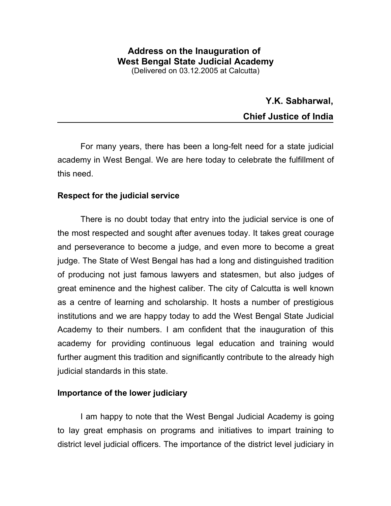## **Address on the Inauguration of West Bengal State Judicial Academy** (Delivered on 03.12.2005 at Calcutta)

**Y.K. Sabharwal, Chief Justice of India**

For many years, there has been a long-felt need for a state judicial academy in West Bengal. We are here today to celebrate the fulfillment of this need.

# **Respect for the judicial service**

There is no doubt today that entry into the judicial service is one of the most respected and sought after avenues today. It takes great courage and perseverance to become a judge, and even more to become a great judge. The State of West Bengal has had a long and distinguished tradition of producing not just famous lawyers and statesmen, but also judges of great eminence and the highest caliber. The city of Calcutta is well known as a centre of learning and scholarship. It hosts a number of prestigious institutions and we are happy today to add the West Bengal State Judicial Academy to their numbers. I am confident that the inauguration of this academy for providing continuous legal education and training would further augment this tradition and significantly contribute to the already high judicial standards in this state.

# **Importance of the lower judiciary**

I am happy to note that the West Bengal Judicial Academy is going to lay great emphasis on programs and initiatives to impart training to district level judicial officers. The importance of the district level judiciary in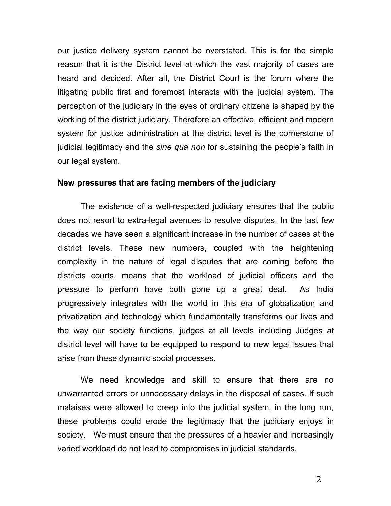our justice delivery system cannot be overstated. This is for the simple reason that it is the District level at which the vast majority of cases are heard and decided. After all, the District Court is the forum where the litigating public first and foremost interacts with the judicial system. The perception of the judiciary in the eyes of ordinary citizens is shaped by the working of the district judiciary. Therefore an effective, efficient and modern system for justice administration at the district level is the cornerstone of judicial legitimacy and the *sine qua non* for sustaining the people's faith in our legal system.

#### **New pressures that are facing members of the judiciary**

The existence of a well-respected judiciary ensures that the public does not resort to extra-legal avenues to resolve disputes. In the last few decades we have seen a significant increase in the number of cases at the district levels. These new numbers, coupled with the heightening complexity in the nature of legal disputes that are coming before the districts courts, means that the workload of judicial officers and the pressure to perform have both gone up a great deal. As India progressively integrates with the world in this era of globalization and privatization and technology which fundamentally transforms our lives and the way our society functions, judges at all levels including Judges at district level will have to be equipped to respond to new legal issues that arise from these dynamic social processes.

We need knowledge and skill to ensure that there are no unwarranted errors or unnecessary delays in the disposal of cases. If such malaises were allowed to creep into the judicial system, in the long run, these problems could erode the legitimacy that the judiciary enjoys in society. We must ensure that the pressures of a heavier and increasingly varied workload do not lead to compromises in judicial standards.

2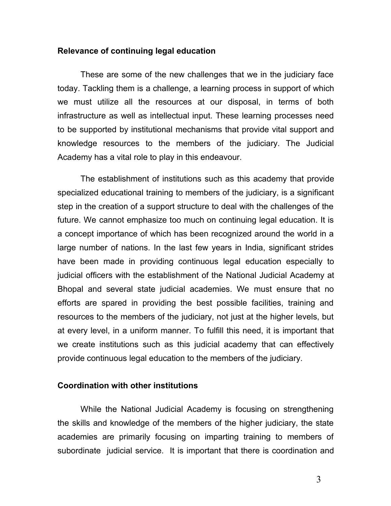#### **Relevance of continuing legal education**

These are some of the new challenges that we in the judiciary face today. Tackling them is a challenge, a learning process in support of which we must utilize all the resources at our disposal, in terms of both infrastructure as well as intellectual input. These learning processes need to be supported by institutional mechanisms that provide vital support and knowledge resources to the members of the judiciary. The Judicial Academy has a vital role to play in this endeavour.

The establishment of institutions such as this academy that provide specialized educational training to members of the judiciary, is a significant step in the creation of a support structure to deal with the challenges of the future. We cannot emphasize too much on continuing legal education. It is a concept importance of which has been recognized around the world in a large number of nations. In the last few years in India, significant strides have been made in providing continuous legal education especially to judicial officers with the establishment of the National Judicial Academy at Bhopal and several state judicial academies. We must ensure that no efforts are spared in providing the best possible facilities, training and resources to the members of the judiciary, not just at the higher levels, but at every level, in a uniform manner. To fulfill this need, it is important that we create institutions such as this judicial academy that can effectively provide continuous legal education to the members of the judiciary.

#### **Coordination with other institutions**

While the National Judicial Academy is focusing on strengthening the skills and knowledge of the members of the higher judiciary, the state academies are primarily focusing on imparting training to members of subordinate judicial service. It is important that there is coordination and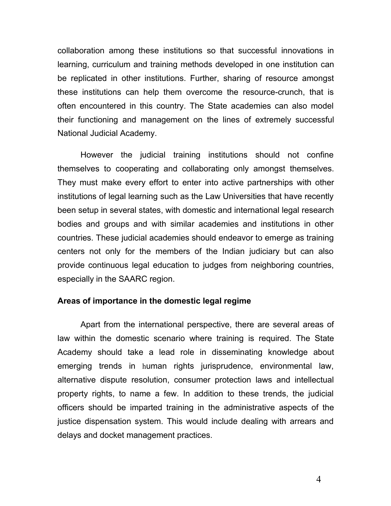collaboration among these institutions so that successful innovations in learning, curriculum and training methods developed in one institution can be replicated in other institutions. Further, sharing of resource amongst these institutions can help them overcome the resource-crunch, that is often encountered in this country. The State academies can also model their functioning and management on the lines of extremely successful National Judicial Academy.

However the judicial training institutions should not confine themselves to cooperating and collaborating only amongst themselves. They must make every effort to enter into active partnerships with other institutions of legal learning such as the Law Universities that have recently been setup in several states, with domestic and international legal research bodies and groups and with similar academies and institutions in other countries. These judicial academies should endeavor to emerge as training centers not only for the members of the Indian judiciary but can also provide continuous legal education to judges from neighboring countries, especially in the SAARC region.

### **Areas of importance in the domestic legal regime**

Apart from the international perspective, there are several areas of law within the domestic scenario where training is required. The State Academy should take a lead role in disseminating knowledge about emerging trends in human rights jurisprudence, environmental law, alternative dispute resolution, consumer protection laws and intellectual property rights, to name a few. In addition to these trends, the judicial officers should be imparted training in the administrative aspects of the justice dispensation system. This would include dealing with arrears and delays and docket management practices.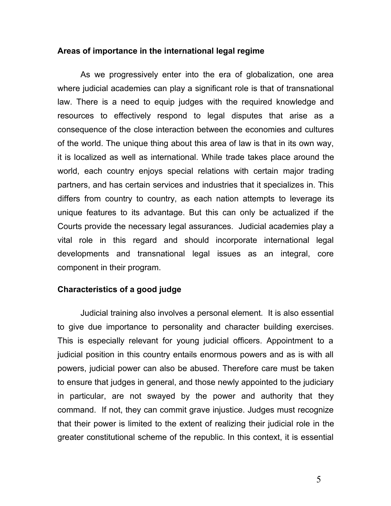### **Areas of importance in the international legal regime**

As we progressively enter into the era of globalization, one area where judicial academies can play a significant role is that of transnational law. There is a need to equip judges with the required knowledge and resources to effectively respond to legal disputes that arise as a consequence of the close interaction between the economies and cultures of the world. The unique thing about this area of law is that in its own way, it is localized as well as international. While trade takes place around the world, each country enjoys special relations with certain major trading partners, and has certain services and industries that it specializes in. This differs from country to country, as each nation attempts to leverage its unique features to its advantage. But this can only be actualized if the Courts provide the necessary legal assurances. Judicial academies play a vital role in this regard and should incorporate international legal developments and transnational legal issues as an integral, core component in their program.

## **Characteristics of a good judge**

Judicial training also involves a personal element. It is also essential to give due importance to personality and character building exercises. This is especially relevant for young judicial officers. Appointment to a judicial position in this country entails enormous powers and as is with all powers, judicial power can also be abused. Therefore care must be taken to ensure that judges in general, and those newly appointed to the judiciary in particular, are not swayed by the power and authority that they command. If not, they can commit grave injustice. Judges must recognize that their power is limited to the extent of realizing their judicial role in the greater constitutional scheme of the republic. In this context, it is essential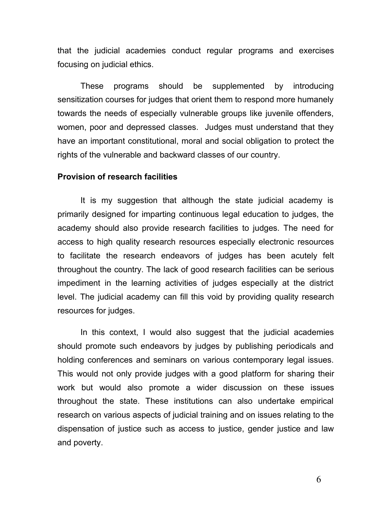that the judicial academies conduct regular programs and exercises focusing on judicial ethics.

These programs should be supplemented by introducing sensitization courses for judges that orient them to respond more humanely towards the needs of especially vulnerable groups like juvenile offenders, women, poor and depressed classes. Judges must understand that they have an important constitutional, moral and social obligation to protect the rights of the vulnerable and backward classes of our country.

### **Provision of research facilities**

It is my suggestion that although the state judicial academy is primarily designed for imparting continuous legal education to judges, the academy should also provide research facilities to judges. The need for access to high quality research resources especially electronic resources to facilitate the research endeavors of judges has been acutely felt throughout the country. The lack of good research facilities can be serious impediment in the learning activities of judges especially at the district level. The judicial academy can fill this void by providing quality research resources for judges.

In this context, I would also suggest that the judicial academies should promote such endeavors by judges by publishing periodicals and holding conferences and seminars on various contemporary legal issues. This would not only provide judges with a good platform for sharing their work but would also promote a wider discussion on these issues throughout the state. These institutions can also undertake empirical research on various aspects of judicial training and on issues relating to the dispensation of justice such as access to justice, gender justice and law and poverty.